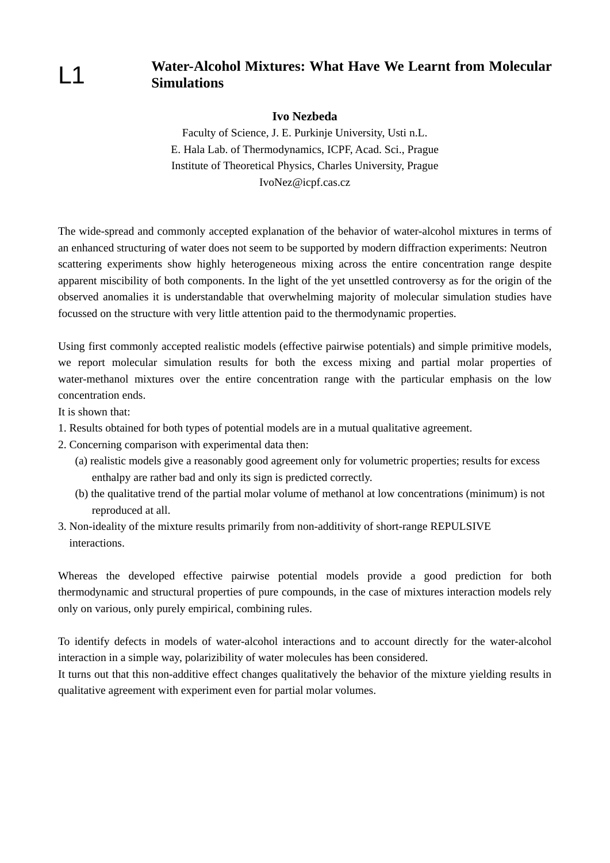$L<sub>1</sub>$ 

## **Water-Alcohol Mixtures: What Have We Learnt from Molecular Simulations**

### **Ivo Nezbeda**

Faculty of Science, J. E. Purkinje University, Usti n.L. E. Hala Lab. of Thermodynamics, ICPF, Acad. Sci., Prague Institute of Theoretical Physics, Charles University, Prague IvoNez@icpf.cas.cz

The wide-spread and commonly accepted explanation of the behavior of water-alcohol mixtures in terms of an enhanced structuring of water does not seem to be supported by modern diffraction experiments: Neutron scattering experiments show highly heterogeneous mixing across the entire concentration range despite apparent miscibility of both components. In the light of the yet unsettled controversy as for the origin of the observed anomalies it is understandable that overwhelming majority of molecular simulation studies have focussed on the structure with very little attention paid to the thermodynamic properties.

Using first commonly accepted realistic models (effective pairwise potentials) and simple primitive models, we report molecular simulation results for both the excess mixing and partial molar properties of water-methanol mixtures over the entire concentration range with the particular emphasis on the low concentration ends.

It is shown that:

- 1. Results obtained for both types of potential models are in a mutual qualitative agreement.
- 2. Concerning comparison with experimental data then:
	- (a) realistic models give a reasonably good agreement only for volumetric properties; results for excess enthalpy are rather bad and only its sign is predicted correctly.
	- (b) the qualitative trend of the partial molar volume of methanol at low concentrations (minimum) is not reproduced at all.
- 3. Non-ideality of the mixture results primarily from non-additivity of short-range REPULSIVE interactions.

Whereas the developed effective pairwise potential models provide a good prediction for both thermodynamic and structural properties of pure compounds, in the case of mixtures interaction models rely only on various, only purely empirical, combining rules.

To identify defects in models of water-alcohol interactions and to account directly for the water-alcohol interaction in a simple way, polarizibility of water molecules has been considered.

It turns out that this non-additive effect changes qualitatively the behavior of the mixture yielding results in qualitative agreement with experiment even for partial molar volumes.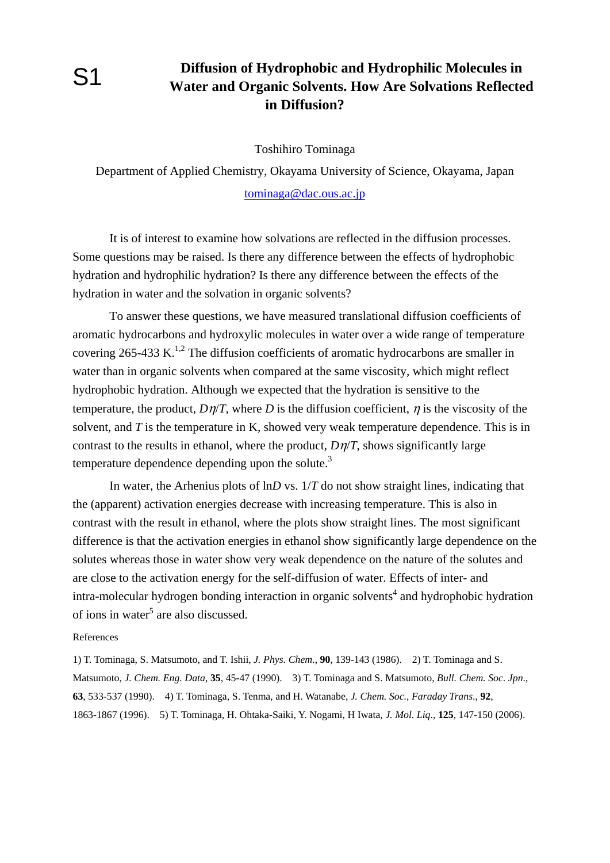# **Diffusion of Hydrophobic and Hydrophilic Molecules in Water and Organic Solvents. How Are Solvations Reflected in Diffusion?**

Toshihiro Tominaga

Department of Applied Chemistry, Okayama University of Science, Okayama, Japan tominaga@dac.ous.ac.jp

It is of interest to examine how solvations are reflected in the diffusion processes. Some questions may be raised. Is there any difference between the effects of hydrophobic hydration and hydrophilic hydration? Is there any difference between the effects of the hydration in water and the solvation in organic solvents?

To answer these questions, we have measured translational diffusion coefficients of aromatic hydrocarbons and hydroxylic molecules in water over a wide range of temperature covering  $265-433$  K.<sup>1,2</sup> The diffusion coefficients of aromatic hydrocarbons are smaller in water than in organic solvents when compared at the same viscosity, which might reflect hydrophobic hydration. Although we expected that the hydration is sensitive to the temperature, the product,  $D\eta/T$ , where *D* is the diffusion coefficient,  $\eta$  is the viscosity of the solvent, and *T* is the temperature in K, showed very weak temperature dependence. This is in contrast to the results in ethanol, where the product, *D*η/*T*, shows significantly large temperature dependence depending upon the solute. $3$ 

In water, the Arhenius plots of ln*D* vs. 1/*T* do not show straight lines, indicating that the (apparent) activation energies decrease with increasing temperature. This is also in contrast with the result in ethanol, where the plots show straight lines. The most significant difference is that the activation energies in ethanol show significantly large dependence on the solutes whereas those in water show very weak dependence on the nature of the solutes and are close to the activation energy for the self-diffusion of water. Effects of inter- and intra-molecular hydrogen bonding interaction in organic solvents<sup>4</sup> and hydrophobic hydration of ions in water<sup>5</sup> are also discussed.

### References

1) T. Tominaga, S. Matsumoto, and T. Ishii, *J. Phys. Chem*., **90**, 139-143 (1986). 2) T. Tominaga and S. Matsumoto, *J. Chem. Eng. Data*, **35**, 45-47 (1990). 3) T. Tominaga and S. Matsumoto, *Bull. Chem. Soc*. *Jpn*., **63**, 533-537 (1990). 4) T. Tominaga, S. Tenma, and H. Watanabe, *J. Chem. Soc., Faraday Trans*., **92**, 1863-1867 (1996). 5) T. Tominaga, H. Ohtaka-Saiki, Y. Nogami, H Iwata, *J. Mol. Liq*., **125**, 147-150 (2006).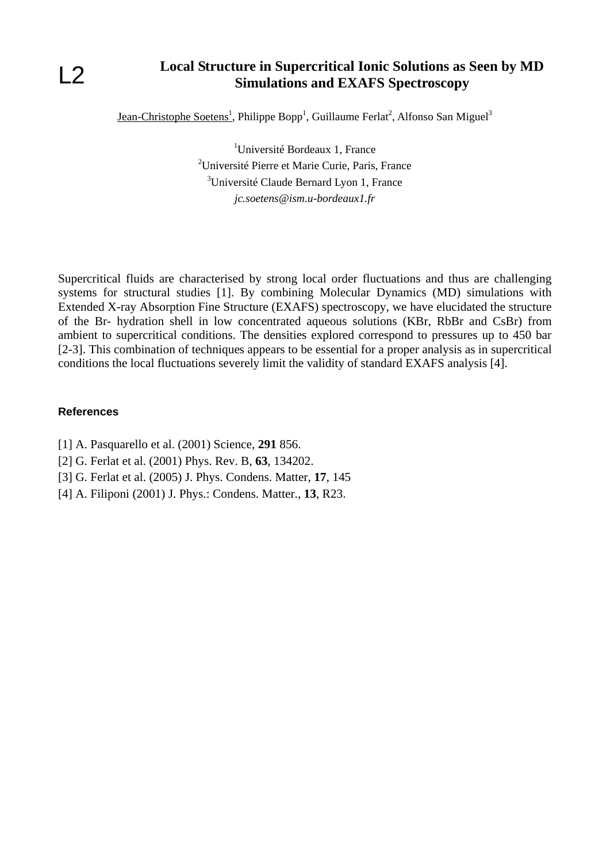## **Local Structure in Supercritical Ionic Solutions as Seen by MD Simulations and EXAFS Spectroscopy**

Jean-Christophe Soetens<sup>1</sup>, Philippe Bopp<sup>1</sup>, Guillaume Ferlat<sup>2</sup>, Alfonso San Miguel<sup>3</sup>

<sup>1</sup>Université Bordeaux 1, France <sup>2</sup>Université Pierre et Marie Curie, Paris, France <sup>3</sup>Université Claude Bernard Lyon 1, France *jc.soetens@ism.u-bordeaux1.fr* 

Supercritical fluids are characterised by strong local order fluctuations and thus are challenging systems for structural studies [1]. By combining Molecular Dynamics (MD) simulations with Extended X-ray Absorption Fine Structure (EXAFS) spectroscopy, we have elucidated the structure of the Br- hydration shell in low concentrated aqueous solutions (KBr, RbBr and CsBr) from ambient to supercritical conditions. The densities explored correspond to pressures up to 450 bar [2-3]. This combination of techniques appears to be essential for a proper analysis as in supercritical conditions the local fluctuations severely limit the validity of standard EXAFS analysis [4].

### **References**

- [1] A. Pasquarello et al. (2001) Science, **291** 856.
- [2] G. Ferlat et al. (2001) Phys. Rev. B, **63**, 134202.
- [3] G. Ferlat et al. (2005) J. Phys. Condens. Matter, **17**, 145
- [4] A. Filiponi (2001) J. Phys.: Condens. Matter., **13**, R23.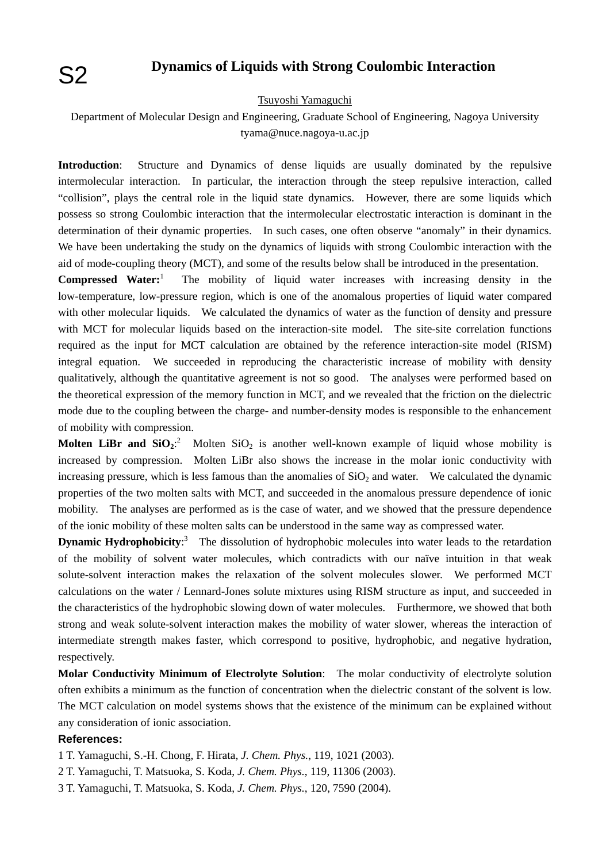## **Dynamics of Liquids with Strong Coulombic Interaction**

### Tsuyoshi Yamaguchi

Department of Molecular Design and Engineering, Graduate School of Engineering, Nagoya University tyama@nuce.nagoya-u.ac.jp

**Introduction**: Structure and Dynamics of dense liquids are usually dominated by the repulsive intermolecular interaction. In particular, the interaction through the steep repulsive interaction, called "collision", plays the central role in the liquid state dynamics. However, there are some liquids which possess so strong Coulombic interaction that the intermolecular electrostatic interaction is dominant in the determination of their dynamic properties. In such cases, one often observe "anomaly" in their dynamics. We have been undertaking the study on the dynamics of liquids with strong Coulombic interaction with the aid of mode-coupling theory (MCT), and some of the results below shall be introduced in the presentation.

**Compressed Water:**<sup>1</sup> The mobility of liquid water increases with increasing density in the low-temperature, low-pressure region, which is one of the anomalous properties of liquid water compared with other molecular liquids. We calculated the dynamics of water as the function of density and pressure with MCT for molecular liquids based on the interaction-site model. The site-site correlation functions required as the input for MCT calculation are obtained by the reference interaction-site model (RISM) integral equation. We succeeded in reproducing the characteristic increase of mobility with density qualitatively, although the quantitative agreement is not so good. The analyses were performed based on the theoretical expression of the memory function in MCT, and we revealed that the friction on the dielectric mode due to the coupling between the charge- and number-density modes is responsible to the enhancement of mobility with compression.

**Molten LiBr and**  $SiO_2$ **:** Molten  $SiO_2$  is another well-known example of liquid whose mobility is increased by compression. Molten LiBr also shows the increase in the molar ionic conductivity with increasing pressure, which is less famous than the anomalies of  $SiO<sub>2</sub>$  and water. We calculated the dynamic properties of the two molten salts with MCT, and succeeded in the anomalous pressure dependence of ionic mobility. The analyses are performed as is the case of water, and we showed that the pressure dependence of the ionic mobility of these molten salts can be understood in the same way as compressed water.

**Dynamic Hydrophobicity**:<sup>3</sup> The dissolution of hydrophobic molecules into water leads to the retardation of the mobility of solvent water molecules, which contradicts with our naïve intuition in that weak solute-solvent interaction makes the relaxation of the solvent molecules slower. We performed MCT calculations on the water / Lennard-Jones solute mixtures using RISM structure as input, and succeeded in the characteristics of the hydrophobic slowing down of water molecules. Furthermore, we showed that both strong and weak solute-solvent interaction makes the mobility of water slower, whereas the interaction of intermediate strength makes faster, which correspond to positive, hydrophobic, and negative hydration, respectively.

**Molar Conductivity Minimum of Electrolyte Solution**: The molar conductivity of electrolyte solution often exhibits a minimum as the function of concentration when the dielectric constant of the solvent is low. The MCT calculation on model systems shows that the existence of the minimum can be explained without any consideration of ionic association.

### **References:**

- 1 T. Yamaguchi, S.-H. Chong, F. Hirata, *J. Chem. Phys.*, 119, 1021 (2003).
- 2 T. Yamaguchi, T. Matsuoka, S. Koda, *J. Chem. Phys.*, 119, 11306 (2003).
- 3 T. Yamaguchi, T. Matsuoka, S. Koda, *J. Chem. Phys.*, 120, 7590 (2004).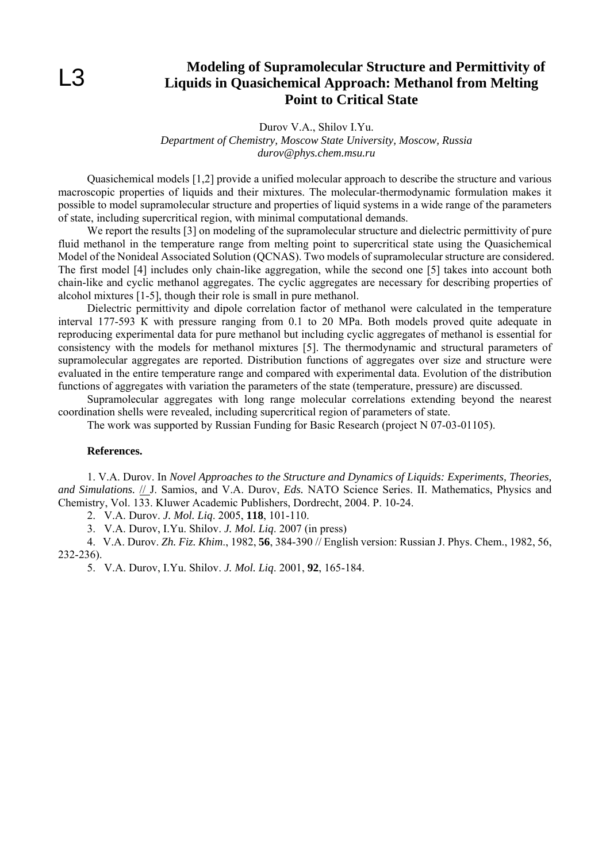## **Modeling of Supramolecular Structure and Permittivity of Liquids in Quasichemical Approach: Methanol from Melting Point to Critical State**

Durov V.A., Shilov I.Yu.

*Department of Chemistry, Moscow State University, Moscow, Russia durov@phys.chem.msu.ru* 

Quasichemical models [1,2] provide a unified molecular approach to describe the structure and various macroscopic properties of liquids and their mixtures. The molecular-thermodynamic formulation makes it possible to model supramolecular structure and properties of liquid systems in a wide range of the parameters of state, including supercritical region, with minimal computational demands.

We report the results [3] on modeling of the supramolecular structure and dielectric permittivity of pure fluid methanol in the temperature range from melting point to supercritical state using the Quasichemical Model of the Nonideal Associated Solution (QCNAS). Two models of supramolecular structure are considered. The first model [4] includes only chain-like aggregation, while the second one [5] takes into account both chain-like and cyclic methanol aggregates. The cyclic aggregates are necessary for describing properties of alcohol mixtures [1-5], though their role is small in pure methanol.

Dielectric permittivity and dipole correlation factor of methanol were calculated in the temperature interval 177-593 К with pressure ranging from 0.1 to 20 MPa. Both models proved quite adequate in reproducing experimental data for pure methanol but including cyclic aggregates of methanol is essential for consistency with the models for methanol mixtures [5]. The thermodynamic and structural parameters of supramolecular aggregates are reported. Distribution functions of aggregates over size and structure were evaluated in the entire temperature range and compared with experimental data. Evolution of the distribution functions of aggregates with variation the parameters of the state (temperature, pressure) are discussed.

Supramolecular aggregates with long range molecular correlations extending beyond the nearest coordination shells were revealed, including supercritical region of parameters of state.

The work was supported by Russian Funding for Basic Research (project N 07-03-01105).

### **References.**

1. V.A. Durov. In *Novel Approaches to the Structure and Dynamics of Liquids: Experiments, Theories, and Simulations.* // J. Samios, and V.A. Durov, *Eds.* NATO Science Series. II. Mathematics, Physics and Chemistry, Vol. 133. Kluwer Academic Publishers, Dordrecht, 2004. P. 10-24.

2. V.A. Durov. *J. Mol. Liq*. 2005, **118**, 101-110.

3. V.A. Durov, I.Yu. Shilov. *J. Mol. Liq*. 2007 (in press)

4. V.A. Durov. *Zh. Fiz. Khim*., 1982, **56**, 384-390 // English version: Russian J. Phys. Chem., 1982, 56, 232-236).

5. V.A. Durov, I.Yu. Shilov. *J. Mol. Liq*. 2001, **92**, 165-184.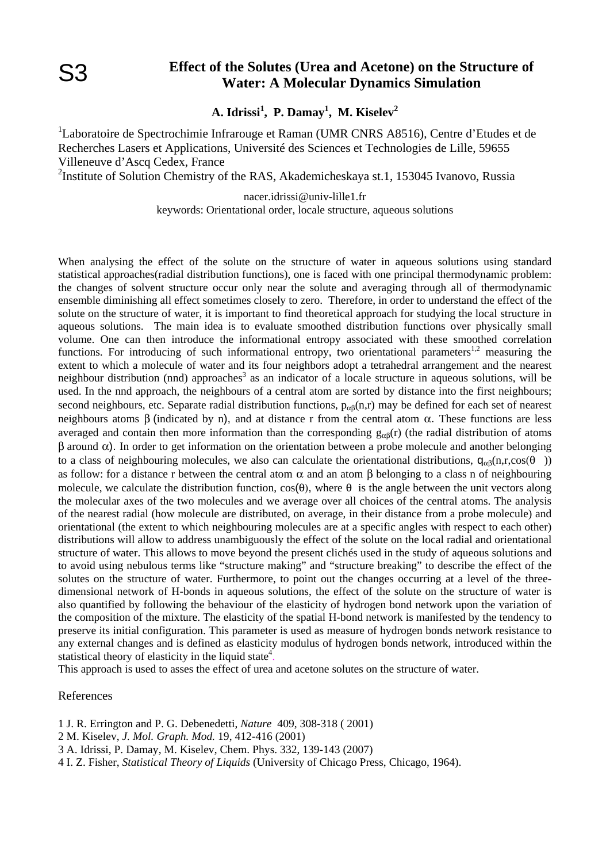## **Effect of the Solutes (Urea and Acetone) on the Structure of Water: A Molecular Dynamics Simulation**

**A. Idrissi<sup>1</sup> , P. Damay<sup>1</sup> , M. Kiselev2** 

<sup>1</sup>Laboratoire de Spectrochimie Infrarouge et Raman (UMR CNRS A8516), Centre d'Etudes et de Recherches Lasers et Applications, Université des Sciences et Technologies de Lille, 59655 Villeneuve d'Ascq Cedex, France

<sup>2</sup>Institute of Solution Chemistry of the RAS, Akademicheskaya st.1, 153045 Ivanovo, Russia

nacer.idrissi@univ-lille1.fr keywords: Orientational order, locale structure, aqueous solutions

When analysing the effect of the solute on the structure of water in aqueous solutions using standard statistical approaches(radial distribution functions), one is faced with one principal thermodynamic problem: the changes of solvent structure occur only near the solute and averaging through all of thermodynamic ensemble diminishing all effect sometimes closely to zero. Therefore, in order to understand the effect of the solute on the structure of water, it is important to find theoretical approach for studying the local structure in aqueous solutions. The main idea is to evaluate smoothed distribution functions over physically small volume. One can then introduce the informational entropy associated with these smoothed correlation functions. For introducing of such informational entropy, two orientational parameters<sup>1,2</sup> measuring the extent to which a molecule of water and its four neighbors adopt a tetrahedral arrangement and the nearest neighbour distribution (nnd) approaches<sup>3</sup> as an indicator of a locale structure in aqueous solutions, will be used. In the nnd approach, the neighbours of a central atom are sorted by distance into the first neighbours; second neighbours, etc. Separate radial distribution functions,  $p_{\alpha\beta}(n,r)$  may be defined for each set of nearest neighbours atoms β (indicated by n), and at distance r from the central atom  $\alpha$ . These functions are less averaged and contain then more information than the corresponding  $g_{\alpha\beta}(r)$  (the radial distribution of atoms β around α). In order to get information on the orientation between a probe molecule and another belonging to a class of neighbouring molecules, we also can calculate the orientational distributions,  $q_{\alpha\beta}(n,r,\cos(\theta))$ as follow: for a distance r between the central atom  $\alpha$  and an atom  $\beta$  belonging to a class n of neighbouring molecule, we calculate the distribution function,  $cos(\theta)$ , where  $\theta$  is the angle between the unit vectors along the molecular axes of the two molecules and we average over all choices of the central atoms. The analysis of the nearest radial (how molecule are distributed, on average, in their distance from a probe molecule) and orientational (the extent to which neighbouring molecules are at a specific angles with respect to each other) distributions will allow to address unambiguously the effect of the solute on the local radial and orientational structure of water. This allows to move beyond the present clichés used in the study of aqueous solutions and to avoid using nebulous terms like "structure making" and "structure breaking" to describe the effect of the solutes on the structure of water. Furthermore, to point out the changes occurring at a level of the threedimensional network of H-bonds in aqueous solutions, the effect of the solute on the structure of water is also quantified by following the behaviour of the elasticity of hydrogen bond network upon the variation of the composition of the mixture. The elasticity of the spatial H-bond network is manifested by the tendency to preserve its initial configuration. This parameter is used as measure of hydrogen bonds network resistance to any external changes and is defined as elasticity modulus of hydrogen bonds network, introduced within the statistical theory of elasticity in the liquid state<sup>4</sup>.

This approach is used to asses the effect of urea and acetone solutes on the structure of water.

### References

1 J. R. Errington and P. G. Debenedetti, *Nature* 409, 308-318 ( 2001)

2 M. Kiselev, *J. Mol. Graph. Mod.* 19, 412-416 (2001)

3 A. Idrissi, P. Damay, M. Kiselev, Chem. Phys. 332, 139-143 (2007)

4 I. Z. Fisher, *Statistical Theory of Liquids* (University of Chicago Press, Chicago, 1964).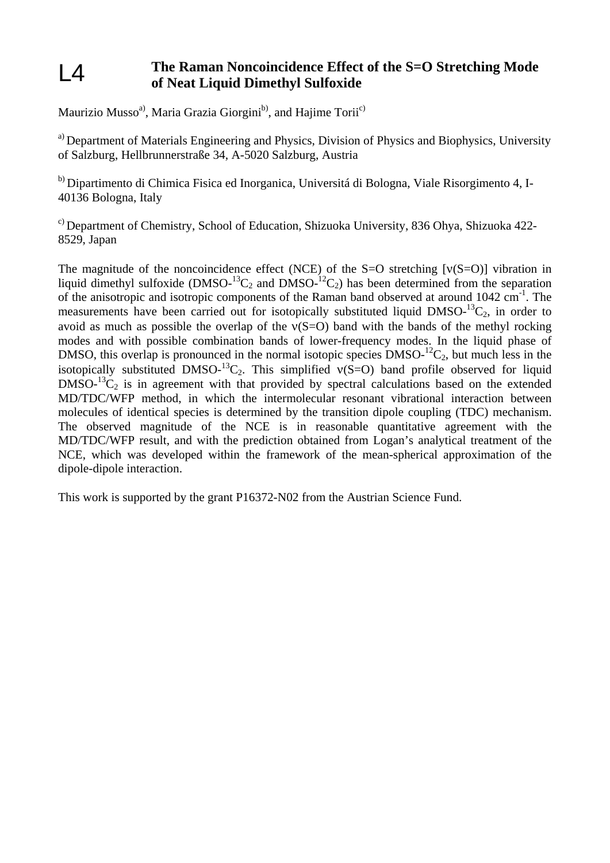#### **The Raman Noncoincidence Effect of the S=O Stretching Mode of Neat Liquid Dimethyl Sulfoxide**   $L4$

Maurizio Musso<sup>a)</sup>, Maria Grazia Giorgini<sup>b)</sup>, and Hajime Torii<sup>c)</sup>

<sup>a)</sup> Department of Materials Engineering and Physics, Division of Physics and Biophysics, University of Salzburg, Hellbrunnerstraße 34, A-5020 Salzburg, Austria

b) Dipartimento di Chimica Fisica ed Inorganica, Universitá di Bologna, Viale Risorgimento 4, I-40136 Bologna, Italy

c) Department of Chemistry, School of Education, Shizuoka University, 836 Ohya, Shizuoka 422- 8529, Japan

The magnitude of the noncoincidence effect (NCE) of the S=O stretching  $[v(S=0)]$  vibration in liquid dimethyl sulfoxide  $(DMSO<sup>-13</sup>C<sub>2</sub>$  and  $DMSO<sup>-12</sup>C<sub>2</sub>$ ) has been determined from the separation of the anisotropic and isotropic components of the Raman band observed at around  $1042 \text{ cm}^{-1}$ . The measurements have been carried out for isotopically substituted liquid  $DMSO<sup>-13</sup>C<sub>2</sub>$ , in order to avoid as much as possible the overlap of the  $v(S=O)$  band with the bands of the methyl rocking modes and with possible combination bands of lower-frequency modes. In the liquid phase of DMSO, this overlap is pronounced in the normal isotopic species  $DMSO<sup>-12</sup>C<sub>2</sub>$ , but much less in the isotopically substituted DMSO-<sup>13</sup>C<sub>2</sub>. This simplified  $v(S=O)$  band profile observed for liquid  $DMSO<sup>13</sup>C<sub>2</sub>$  is in agreement with that provided by spectral calculations based on the extended MD/TDC/WFP method, in which the intermolecular resonant vibrational interaction between molecules of identical species is determined by the transition dipole coupling (TDC) mechanism. The observed magnitude of the NCE is in reasonable quantitative agreement with the MD/TDC/WFP result, and with the prediction obtained from Logan's analytical treatment of the NCE, which was developed within the framework of the mean-spherical approximation of the dipole-dipole interaction.

This work is supported by the grant P16372-N02 from the Austrian Science Fund.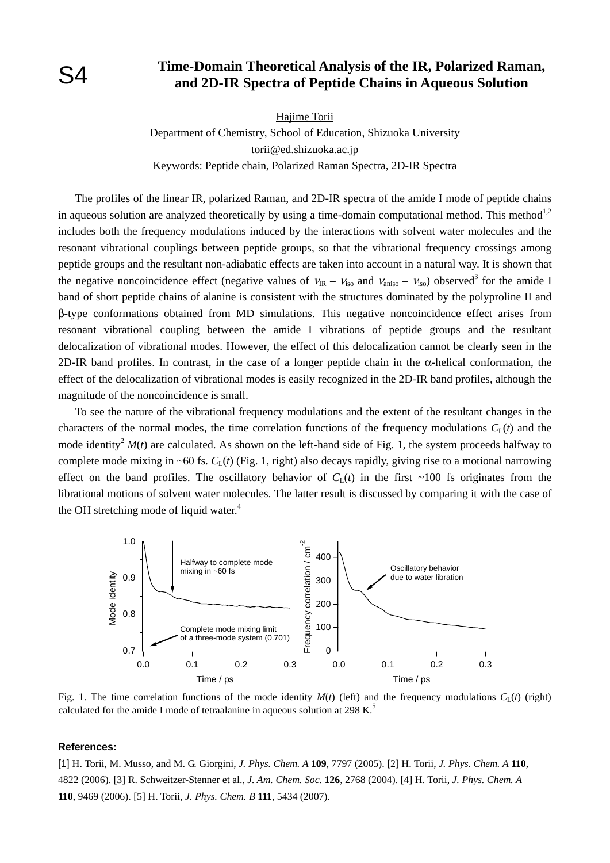## **Time-Domain Theoretical Analysis of the IR, Polarized Raman, and 2D-IR Spectra of Peptide Chains in Aqueous Solution**

Hajime Torii

Department of Chemistry, School of Education, Shizuoka University torii@ed.shizuoka.ac.jp Keywords: Peptide chain, Polarized Raman Spectra, 2D-IR Spectra

 The profiles of the linear IR, polarized Raman, and 2D-IR spectra of the amide I mode of peptide chains in aqueous solution are analyzed theoretically by using a time-domain computational method. This method<sup>1,2</sup> includes both the frequency modulations induced by the interactions with solvent water molecules and the resonant vibrational couplings between peptide groups, so that the vibrational frequency crossings among peptide groups and the resultant non-adiabatic effects are taken into account in a natural way. It is shown that the negative noncoincidence effect (negative values of  $v_{IR} - v_{iso}$  and  $v_{aniso} - v_{iso}$ ) observed<sup>3</sup> for the amide I band of short peptide chains of alanine is consistent with the structures dominated by the polyproline II and β-type conformations obtained from MD simulations. This negative noncoincidence effect arises from resonant vibrational coupling between the amide I vibrations of peptide groups and the resultant delocalization of vibrational modes. However, the effect of this delocalization cannot be clearly seen in the 2D-IR band profiles. In contrast, in the case of a longer peptide chain in the  $\alpha$ -helical conformation, the effect of the delocalization of vibrational modes is easily recognized in the 2D-IR band profiles, although the magnitude of the noncoincidence is small.

 To see the nature of the vibrational frequency modulations and the extent of the resultant changes in the characters of the normal modes, the time correlation functions of the frequency modulations  $C<sub>L</sub>(t)$  and the mode identity<sup>2</sup>  $M(t)$  are calculated. As shown on the left-hand side of Fig. 1, the system proceeds halfway to complete mode mixing in ~60 fs.  $C_l(t)$  (Fig. 1, right) also decays rapidly, giving rise to a motional narrowing effect on the band profiles. The oscillatory behavior of  $C<sub>L</sub>(t)$  in the first ~100 fs originates from the librational motions of solvent water molecules. The latter result is discussed by comparing it with the case of the OH stretching mode of liquid water.<sup>4</sup>



Fig. 1. The time correlation functions of the mode identity  $M(t)$  (left) and the frequency modulations  $C<sub>L</sub>(t)$  (right) calculated for the amide I mode of tetraalanine in aqueous solution at 298 K.<sup>5</sup>

#### **References:**

[1] H. Torii, M. Musso, and M. G. Giorgini, *J. Phys. Chem. A* **109**, 7797 (2005). [2] H. Torii, *J. Phys. Chem. A* **110**, 4822 (2006). [3] R. Schweitzer-Stenner et al., *J. Am. Chem. Soc.* **126**, 2768 (2004). [4] H. Torii, *J. Phys. Chem. A* **110**, 9469 (2006). [5] H. Torii, *J. Phys. Chem. B* **111**, 5434 (2007).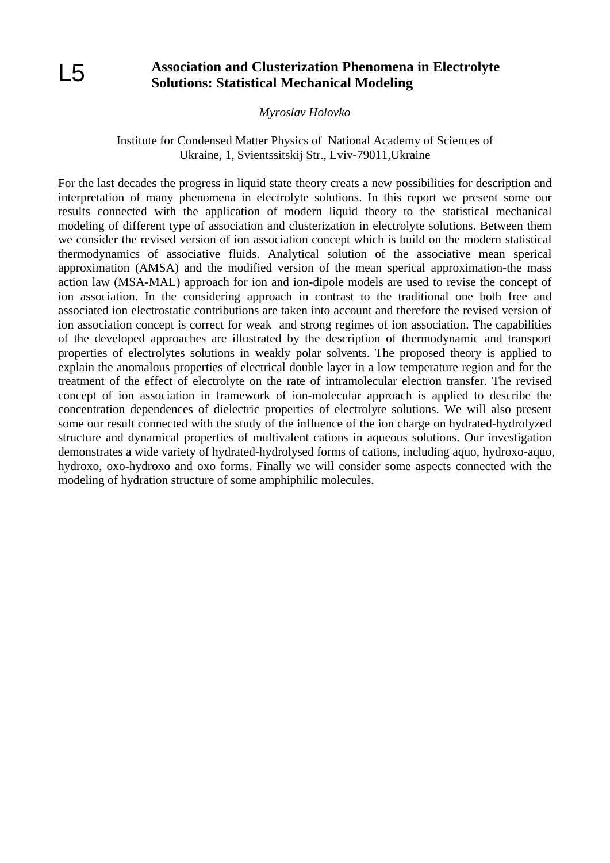## **Association and Clusterization Phenomena in Electrolyte Solutions: Statistical Mechanical Modeling**

*Myroslav Holovko* 

## Institute for Condensed Matter Physics of National Academy of Sciences of Ukraine, 1, Svientssitskij Str., Lviv-79011,Ukraine

For the last decades the progress in liquid state theory creats a new possibilities for description and interpretation of many phenomena in electrolyte solutions. In this report we present some our results connected with the application of modern liquid theory to the statistical mechanical modeling of different type of association and clusterization in electrolyte solutions. Between them we consider the revised version of ion association concept which is build on the modern statistical thermodynamics of associative fluids. Analytical solution of the associative mean sperical approximation (AMSA) and the modified version of the mean sperical approximation-the mass action law (MSA-MAL) approach for ion and ion-dipole models are used to revise the concept of ion association. In the considering approach in contrast to the traditional one both free and associated ion electrostatic contributions are taken into account and therefore the revised version of ion association concept is correct for weak and strong regimes of ion association. The capabilities of the developed approaches are illustrated by the description of thermodynamic and transport properties of electrolytes solutions in weakly polar solvents. The proposed theory is applied to explain the anomalous properties of electrical double layer in a low temperature region and for the treatment of the effect of electrolyte on the rate of intramolecular electron transfer. The revised concept of ion association in framework of ion-molecular approach is applied to describe the concentration dependences of dielectric properties of electrolyte solutions. We will also present some our result connected with the study of the influence of the ion charge on hydrated-hydrolyzed structure and dynamical properties of multivalent cations in aqueous solutions. Our investigation demonstrates a wide variety of hydrated-hydrolysed forms of cations, including aquo, hydroxo-aquo, hydroxo, oxo-hydroxo and oxo forms. Finally we will consider some aspects connected with the modeling of hydration structure of some amphiphilic molecules.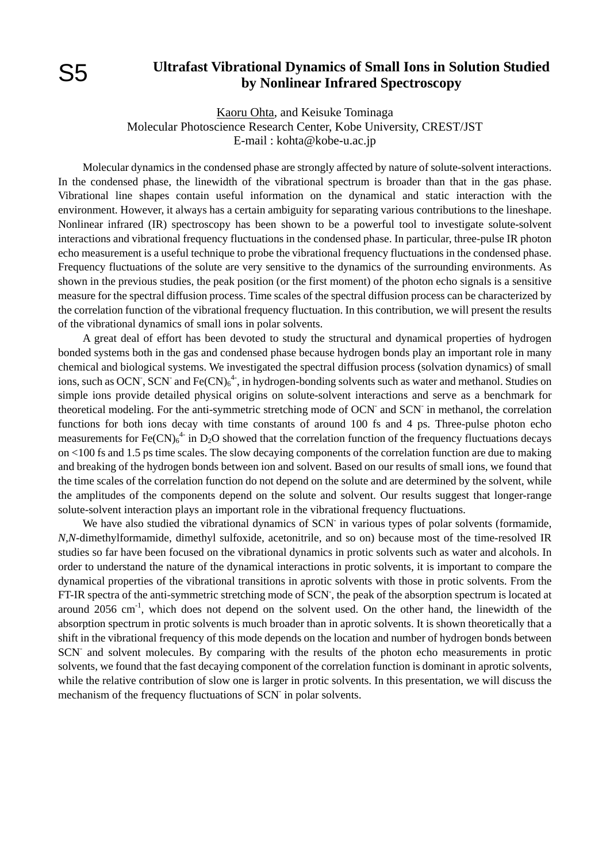# S5

## **Ultrafast Vibrational Dynamics of Small Ions in Solution Studied by Nonlinear Infrared Spectroscopy**

Kaoru Ohta, and Keisuke Tominaga Molecular Photoscience Research Center, Kobe University, CREST/JST E-mail : kohta@kobe-u.ac.jp

Molecular dynamics in the condensed phase are strongly affected by nature of solute-solvent interactions. In the condensed phase, the linewidth of the vibrational spectrum is broader than that in the gas phase. Vibrational line shapes contain useful information on the dynamical and static interaction with the environment. However, it always has a certain ambiguity for separating various contributions to the lineshape. Nonlinear infrared (IR) spectroscopy has been shown to be a powerful tool to investigate solute-solvent interactions and vibrational frequency fluctuations in the condensed phase. In particular, three-pulse IR photon echo measurement is a useful technique to probe the vibrational frequency fluctuations in the condensed phase. Frequency fluctuations of the solute are very sensitive to the dynamics of the surrounding environments. As shown in the previous studies, the peak position (or the first moment) of the photon echo signals is a sensitive measure for the spectral diffusion process. Time scales of the spectral diffusion process can be characterized by the correlation function of the vibrational frequency fluctuation. In this contribution, we will present the results of the vibrational dynamics of small ions in polar solvents.

A great deal of effort has been devoted to study the structural and dynamical properties of hydrogen bonded systems both in the gas and condensed phase because hydrogen bonds play an important role in many chemical and biological systems. We investigated the spectral diffusion process (solvation dynamics) of small ions, such as OCN<sup>-</sup>, SCN<sup>-</sup> and Fe(CN)<sub>6</sub><sup>4</sup>, in hydrogen-bonding solvents such as water and methanol. Studies on simple ions provide detailed physical origins on solute-solvent interactions and serve as a benchmark for theoretical modeling. For the anti-symmetric stretching mode of OCN<sup>-</sup> and SCN<sup>-</sup> in methanol, the correlation functions for both ions decay with time constants of around 100 fs and 4 ps. Three-pulse photon echo measurements for Fe(CN) $_6^4$  in D<sub>2</sub>O showed that the correlation function of the frequency fluctuations decays on <100 fs and 1.5 ps time scales. The slow decaying components of the correlation function are due to making and breaking of the hydrogen bonds between ion and solvent. Based on our results of small ions, we found that the time scales of the correlation function do not depend on the solute and are determined by the solvent, while the amplitudes of the components depend on the solute and solvent. Our results suggest that longer-range solute-solvent interaction plays an important role in the vibrational frequency fluctuations.

We have also studied the vibrational dynamics of SCN in various types of polar solvents (formamide, *N,N*-dimethylformamide, dimethyl sulfoxide, acetonitrile, and so on) because most of the time-resolved IR studies so far have been focused on the vibrational dynamics in protic solvents such as water and alcohols. In order to understand the nature of the dynamical interactions in protic solvents, it is important to compare the dynamical properties of the vibrational transitions in aprotic solvents with those in protic solvents. From the FT-IR spectra of the anti-symmetric stretching mode of SCN, the peak of the absorption spectrum is located at around 2056 cm<sup>-1</sup>, which does not depend on the solvent used. On the other hand, the linewidth of the absorption spectrum in protic solvents is much broader than in aprotic solvents. It is shown theoretically that a shift in the vibrational frequency of this mode depends on the location and number of hydrogen bonds between SCN<sup>-</sup> and solvent molecules. By comparing with the results of the photon echo measurements in protic solvents, we found that the fast decaying component of the correlation function is dominant in aprotic solvents, while the relative contribution of slow one is larger in protic solvents. In this presentation, we will discuss the mechanism of the frequency fluctuations of SCN in polar solvents.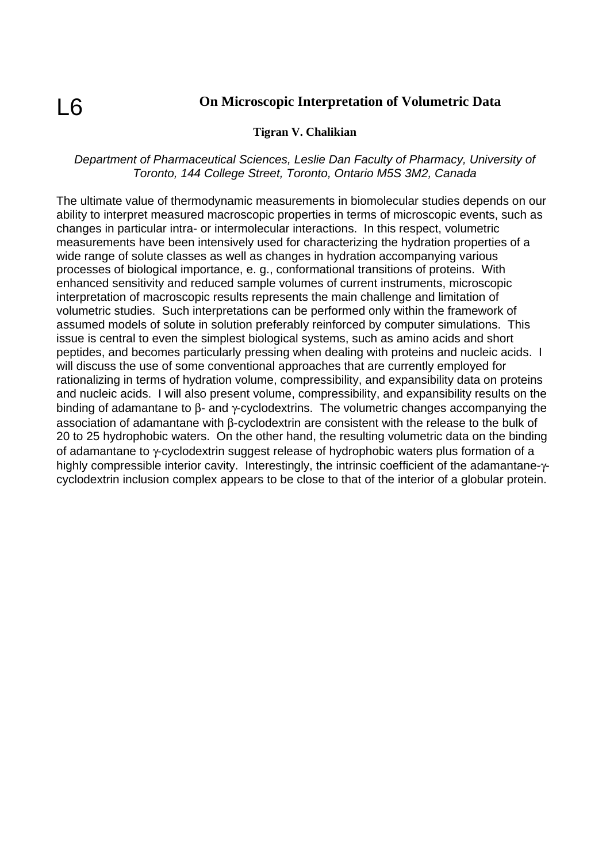# $\overline{6}$

## **On Microscopic Interpretation of Volumetric Data**

## **Tigran V. Chalikian**

### *Department of Pharmaceutical Sciences, Leslie Dan Faculty of Pharmacy, University of Toronto, 144 College Street, Toronto, Ontario M5S 3M2, Canada*

The ultimate value of thermodynamic measurements in biomolecular studies depends on our ability to interpret measured macroscopic properties in terms of microscopic events, such as changes in particular intra- or intermolecular interactions. In this respect, volumetric measurements have been intensively used for characterizing the hydration properties of a wide range of solute classes as well as changes in hydration accompanying various processes of biological importance, e. g., conformational transitions of proteins. With enhanced sensitivity and reduced sample volumes of current instruments, microscopic interpretation of macroscopic results represents the main challenge and limitation of volumetric studies. Such interpretations can be performed only within the framework of assumed models of solute in solution preferably reinforced by computer simulations. This issue is central to even the simplest biological systems, such as amino acids and short peptides, and becomes particularly pressing when dealing with proteins and nucleic acids. I will discuss the use of some conventional approaches that are currently employed for rationalizing in terms of hydration volume, compressibility, and expansibility data on proteins and nucleic acids. I will also present volume, compressibility, and expansibility results on the binding of adamantane to β- and γ-cyclodextrins. The volumetric changes accompanying the association of adamantane with β-cyclodextrin are consistent with the release to the bulk of 20 to 25 hydrophobic waters. On the other hand, the resulting volumetric data on the binding of adamantane to γ-cyclodextrin suggest release of hydrophobic waters plus formation of a highly compressible interior cavity. Interestingly, the intrinsic coefficient of the adamantane-γcyclodextrin inclusion complex appears to be close to that of the interior of a globular protein.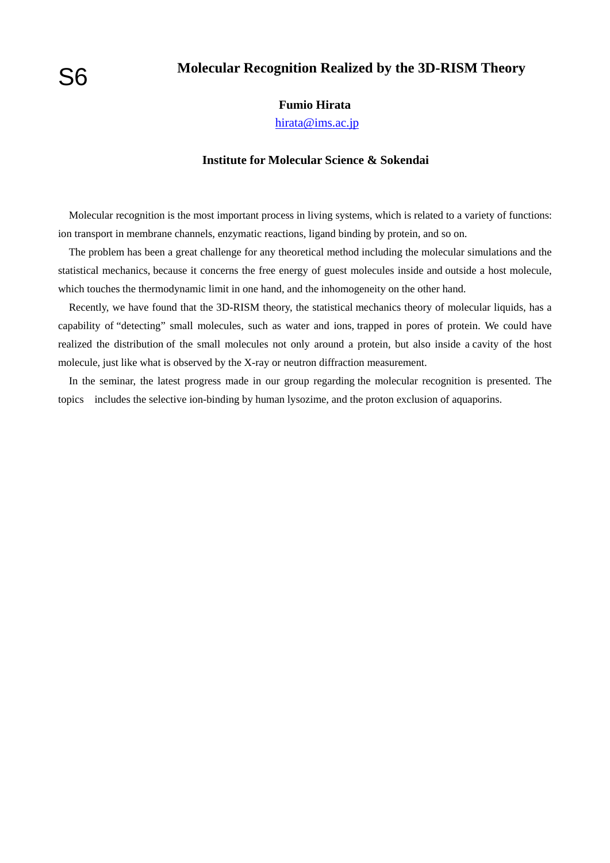# S6

## **Molecular Recognition Realized by the 3D-RISM Theory**

### **Fumio Hirata**

hirata@ims.ac.jp

### **Institute for Molecular Science & Sokendai**

 Molecular recognition is the most important process in living systems, which is related to a variety of functions: ion transport in membrane channels, enzymatic reactions, ligand binding by protein, and so on.

 The problem has been a great challenge for any theoretical method including the molecular simulations and the statistical mechanics, because it concerns the free energy of guest molecules inside and outside a host molecule, which touches the thermodynamic limit in one hand, and the inhomogeneity on the other hand.

 Recently, we have found that the 3D-RISM theory, the statistical mechanics theory of molecular liquids, has a capability of "detecting" small molecules, such as water and ions, trapped in pores of protein. We could have realized the distribution of the small molecules not only around a protein, but also inside a cavity of the host molecule, just like what is observed by the X-ray or neutron diffraction measurement.

 In the seminar, the latest progress made in our group regarding the molecular recognition is presented. The topics includes the selective ion-binding by human lysozime, and the proton exclusion of aquaporins.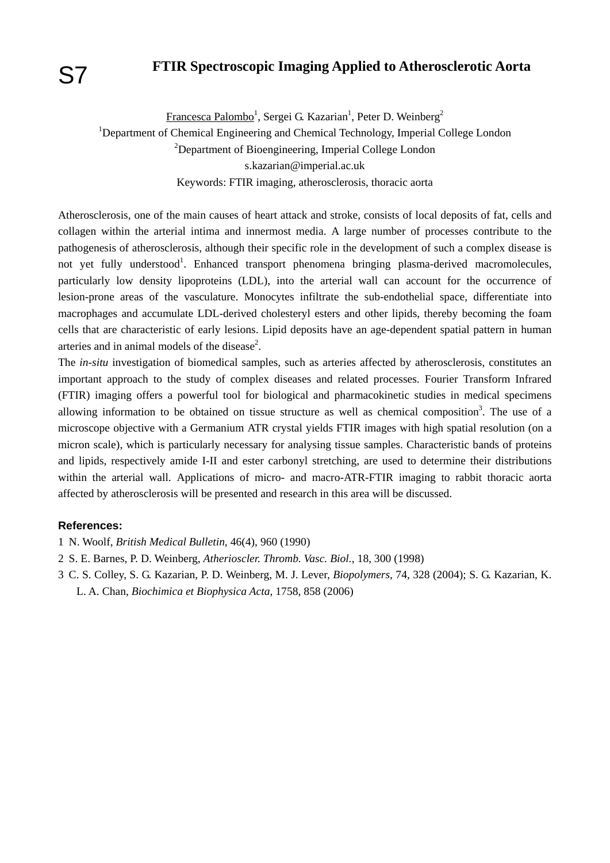## **FTIR Spectroscopic Imaging Applied to Atherosclerotic Aorta**

Francesca Palombo<sup>1</sup>, Sergei G. Kazarian<sup>1</sup>, Peter D. Weinberg<sup>2</sup>

<sup>1</sup>Department of Chemical Engineering and Chemical Technology, Imperial College London <sup>2</sup>Department of Bioengineering, Imperial College London s.kazarian@imperial.ac.uk Keywords: FTIR imaging, atherosclerosis, thoracic aorta

Atherosclerosis, one of the main causes of heart attack and stroke, consists of local deposits of fat, cells and collagen within the arterial intima and innermost media. A large number of processes contribute to the pathogenesis of atherosclerosis, although their specific role in the development of such a complex disease is not yet fully understood<sup>1</sup>. Enhanced transport phenomena bringing plasma-derived macromolecules, particularly low density lipoproteins (LDL), into the arterial wall can account for the occurrence of lesion-prone areas of the vasculature. Monocytes infiltrate the sub-endothelial space, differentiate into macrophages and accumulate LDL-derived cholesteryl esters and other lipids, thereby becoming the foam cells that are characteristic of early lesions. Lipid deposits have an age-dependent spatial pattern in human arteries and in animal models of the disease<sup>2</sup>.

The *in-situ* investigation of biomedical samples, such as arteries affected by atherosclerosis, constitutes an important approach to the study of complex diseases and related processes. Fourier Transform Infrared (FTIR) imaging offers a powerful tool for biological and pharmacokinetic studies in medical specimens allowing information to be obtained on tissue structure as well as chemical composition<sup>3</sup>. The use of a microscope objective with a Germanium ATR crystal yields FTIR images with high spatial resolution (on a micron scale), which is particularly necessary for analysing tissue samples. Characteristic bands of proteins and lipids, respectively amide I-II and ester carbonyl stretching, are used to determine their distributions within the arterial wall. Applications of micro- and macro-ATR-FTIR imaging to rabbit thoracic aorta affected by atherosclerosis will be presented and research in this area will be discussed.

### **References:**

- 1 N. Woolf, *British Medical Bulletin*, 46(4), 960 (1990)
- 2 S. E. Barnes, P. D. Weinberg, *Atherioscler. Thromb. Vasc. Biol.*, 18, 300 (1998)
- 3 C. S. Colley, S. G. Kazarian, P. D. Weinberg, M. J. Lever, *Biopolymers*, 74, 328 (2004); S. G. Kazarian, K. L. A. Chan, *Biochimica et Biophysica Acta*, 1758, 858 (2006)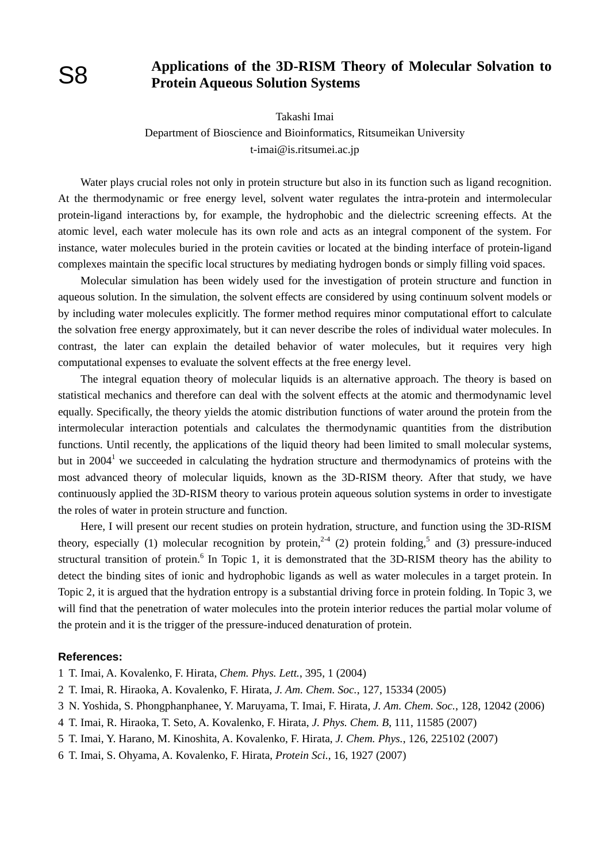## **Applications of the 3D-RISM Theory of Molecular Solvation to Protein Aqueous Solution Systems**

Takashi Imai

Department of Bioscience and Bioinformatics, Ritsumeikan University t-imai@is.ritsumei.ac.jp

Water plays crucial roles not only in protein structure but also in its function such as ligand recognition. At the thermodynamic or free energy level, solvent water regulates the intra-protein and intermolecular protein-ligand interactions by, for example, the hydrophobic and the dielectric screening effects. At the atomic level, each water molecule has its own role and acts as an integral component of the system. For instance, water molecules buried in the protein cavities or located at the binding interface of protein-ligand complexes maintain the specific local structures by mediating hydrogen bonds or simply filling void spaces.

Molecular simulation has been widely used for the investigation of protein structure and function in aqueous solution. In the simulation, the solvent effects are considered by using continuum solvent models or by including water molecules explicitly. The former method requires minor computational effort to calculate the solvation free energy approximately, but it can never describe the roles of individual water molecules. In contrast, the later can explain the detailed behavior of water molecules, but it requires very high computational expenses to evaluate the solvent effects at the free energy level.

The integral equation theory of molecular liquids is an alternative approach. The theory is based on statistical mechanics and therefore can deal with the solvent effects at the atomic and thermodynamic level equally. Specifically, the theory yields the atomic distribution functions of water around the protein from the intermolecular interaction potentials and calculates the thermodynamic quantities from the distribution functions. Until recently, the applications of the liquid theory had been limited to small molecular systems, but in  $2004<sup>1</sup>$  we succeeded in calculating the hydration structure and thermodynamics of proteins with the most advanced theory of molecular liquids, known as the 3D-RISM theory. After that study, we have continuously applied the 3D-RISM theory to various protein aqueous solution systems in order to investigate the roles of water in protein structure and function.

Here, I will present our recent studies on protein hydration, structure, and function using the 3D-RISM theory, especially (1) molecular recognition by protein,<sup>2-4</sup> (2) protein folding,<sup>5</sup> and (3) pressure-induced structural transition of protein.<sup>6</sup> In Topic 1, it is demonstrated that the 3D-RISM theory has the ability to detect the binding sites of ionic and hydrophobic ligands as well as water molecules in a target protein. In Topic 2, it is argued that the hydration entropy is a substantial driving force in protein folding. In Topic 3, we will find that the penetration of water molecules into the protein interior reduces the partial molar volume of the protein and it is the trigger of the pressure-induced denaturation of protein.

### **References:**

1 T. Imai, A. Kovalenko, F. Hirata, *Chem. Phys. Lett.*, 395, 1 (2004)

- 2 T. Imai, R. Hiraoka, A. Kovalenko, F. Hirata, *J. Am. Chem. Soc.*, 127, 15334 (2005)
- 3 N. Yoshida, S. Phongphanphanee, Y. Maruyama, T. Imai, F. Hirata, *J. Am. Chem. Soc.*, 128, 12042 (2006)
- 4 T. Imai, R. Hiraoka, T. Seto, A. Kovalenko, F. Hirata, *J. Phys. Chem. B*, 111, 11585 (2007)
- 5 T. Imai, Y. Harano, M. Kinoshita, A. Kovalenko, F. Hirata, *J. Chem. Phys.*, 126, 225102 (2007)
- 6 T. Imai, S. Ohyama, A. Kovalenko, F. Hirata, *Protein Sci.*, 16, 1927 (2007)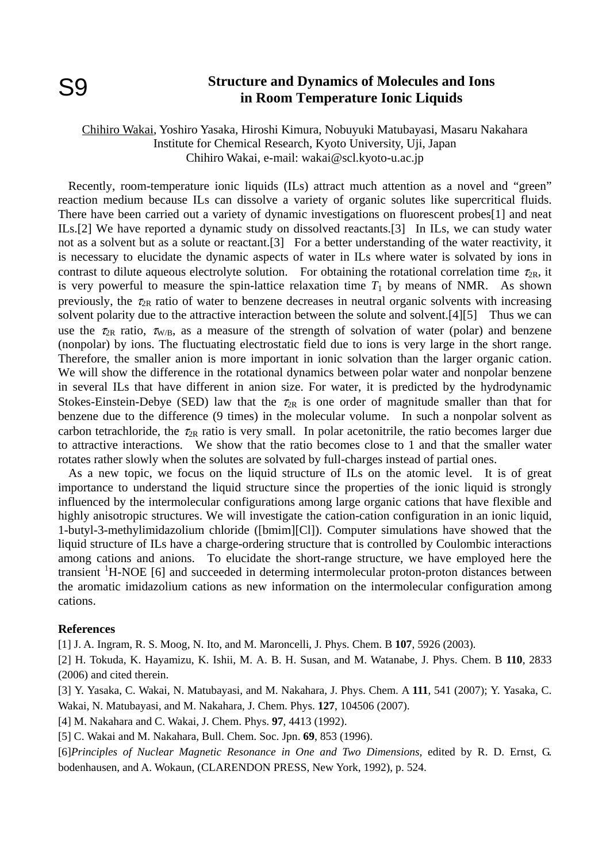## **Structure and Dynamics of Molecules and Ions in Room Temperature Ionic Liquids**

## Chihiro Wakai, Yoshiro Yasaka, Hiroshi Kimura, Nobuyuki Matubayasi, Masaru Nakahara Institute for Chemical Research, Kyoto University, Uji, Japan Chihiro Wakai, e-mail: wakai@scl.kyoto-u.ac.jp

Recently, room-temperature ionic liquids (ILs) attract much attention as a novel and "green" reaction medium because ILs can dissolve a variety of organic solutes like supercritical fluids. There have been carried out a variety of dynamic investigations on fluorescent probes[1] and neat ILs.[2] We have reported a dynamic study on dissolved reactants.[3] In ILs, we can study water not as a solvent but as a solute or reactant. [3] For a better understanding of the water reactivity, it is necessary to elucidate the dynamic aspects of water in ILs where water is solvated by ions in contrast to dilute aqueous electrolyte solution. For obtaining the rotational correlation time  $\tau_{2R}$ , it is very powerful to measure the spin-lattice relaxation time  $T_1$  by means of NMR. As shown previously, the  $\tau_{2R}$  ratio of water to benzene decreases in neutral organic solvents with increasing solvent polarity due to the attractive interaction between the solute and solvent.<sup>[4][5]</sup> Thus we can use the  $\tau_{2R}$  ratio,  $\tau_{W/B}$ , as a measure of the strength of solvation of water (polar) and benzene (nonpolar) by ions. The fluctuating electrostatic field due to ions is very large in the short range. Therefore, the smaller anion is more important in ionic solvation than the larger organic cation. We will show the difference in the rotational dynamics between polar water and nonpolar benzene in several ILs that have different in anion size. For water, it is predicted by the hydrodynamic Stokes-Einstein-Debye (SED) law that the  $\tau_{2R}$  is one order of magnitude smaller than that for benzene due to the difference (9 times) in the molecular volume. In such a nonpolar solvent as carbon tetrachloride, the  $\tau_{2R}$  ratio is very small. In polar acetonitrile, the ratio becomes larger due to attractive interactions. We show that the ratio becomes close to 1 and that the smaller water rotates rather slowly when the solutes are solvated by full-charges instead of partial ones.

As a new topic, we focus on the liquid structure of ILs on the atomic level. It is of great importance to understand the liquid structure since the properties of the ionic liquid is strongly influenced by the intermolecular configurations among large organic cations that have flexible and highly anisotropic structures. We will investigate the cation-cation configuration in an ionic liquid, 1-butyl-3-methylimidazolium chloride ([bmim][Cl]). Computer simulations have showed that the liquid structure of ILs have a charge-ordering structure that is controlled by Coulombic interactions among cations and anions. To elucidate the short-range structure, we have employed here the transient <sup>1</sup>H-NOE [6] and succeeded in determing intermolecular proton-proton distances between the aromatic imidazolium cations as new information on the intermolecular configuration among cations.

### **References**

[1] J. A. Ingram, R. S. Moog, N. Ito, and M. Maroncelli, J. Phys. Chem. B **107**, 5926 (2003).

[2] H. Tokuda, K. Hayamizu, K. Ishii, M. A. B. H. Susan, and M. Watanabe, J. Phys. Chem. B **110**, 2833 (2006) and cited therein.

[3] Y. Yasaka, C. Wakai, N. Matubayasi, and M. Nakahara, J. Phys. Chem. A **111**, 541 (2007); Y. Yasaka, C. Wakai, N. Matubayasi, and M. Nakahara, J. Chem. Phys. **127**, 104506 (2007).

[4] M. Nakahara and C. Wakai, J. Chem. Phys. **97**, 4413 (1992).

[5] C. Wakai and M. Nakahara, Bull. Chem. Soc. Jpn. **69**, 853 (1996).

[6]*Principles of Nuclear Magnetic Resonance in One and Two Dimensions,* edited by R. D. Ernst, G. bodenhausen, and A. Wokaun, (CLARENDON PRESS, New York, 1992), p. 524.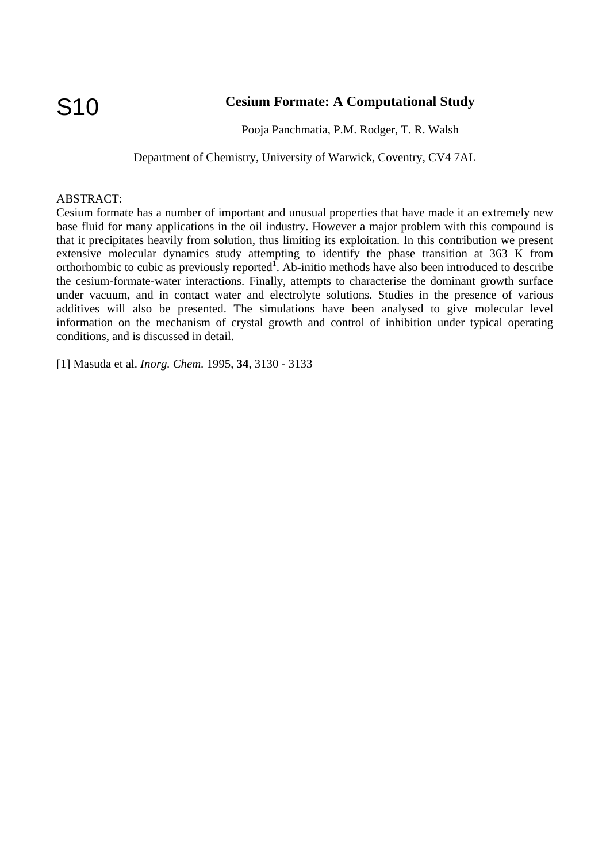## **Cesium Formate: A Computational Study**

Pooja Panchmatia, P.M. Rodger, T. R. Walsh

Department of Chemistry, University of Warwick, Coventry, CV4 7AL

### ABSTRACT:

Cesium formate has a number of important and unusual properties that have made it an extremely new base fluid for many applications in the oil industry. However a major problem with this compound is that it precipitates heavily from solution, thus limiting its exploitation. In this contribution we present extensive molecular dynamics study attempting to identify the phase transition at 363 K from orthorhombic to cubic as previously reported<sup>1</sup>. Ab-initio methods have also been introduced to describe the cesium-formate-water interactions. Finally, attempts to characterise the dominant growth surface under vacuum, and in contact water and electrolyte solutions. Studies in the presence of various additives will also be presented. The simulations have been analysed to give molecular level information on the mechanism of crystal growth and control of inhibition under typical operating conditions, and is discussed in detail.

[1] Masuda et al. *Inorg. Chem.* 1995, **34**, 3130 - 3133